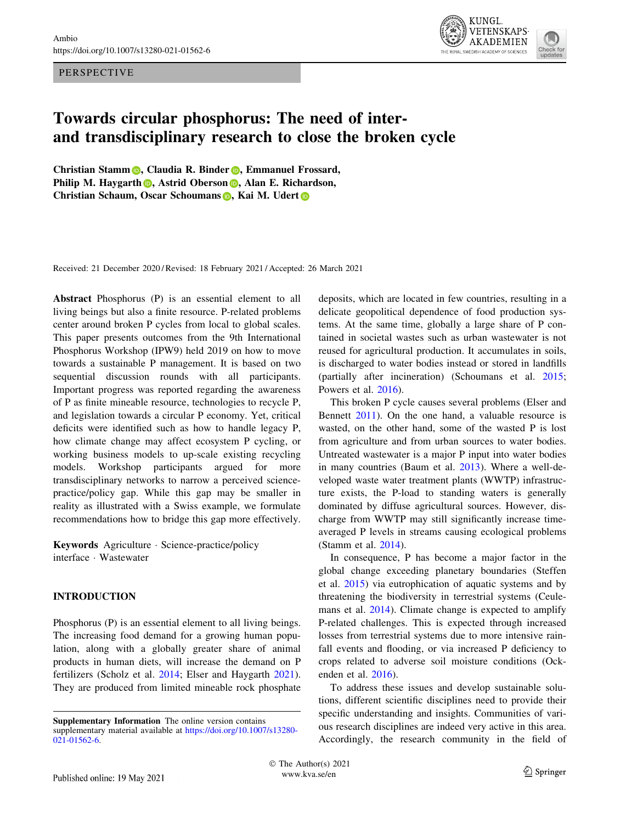PERSPECTIVE



# Towards circular phosphorus: The need of interand transdisciplinary research to close the broken cycle

Christian Sta[m](http://orcid.org/0000-0001-5888-6535)m **D**, Claudia R. Binder **D**, Emmanuel Frossard, P[h](http://orcid.org/0000-0002-1672-6290)ilip M. Haygarth **D**, Astrid Oberso[n](http://orcid.org/0000-0002-5416-986X) **D**, Alan E. Richardson, Chri[s](http://orcid.org/0000-0002-0693-6323)[t](http://orcid.org/0000-0002-8051-7362)ian Schaum, Oscar Schoumans D, Kai M. Udert D

Received: 21 December 2020 / Revised: 18 February 2021 / Accepted: 26 March 2021

Abstract Phosphorus (P) is an essential element to all living beings but also a finite resource. P-related problems center around broken P cycles from local to global scales. This paper presents outcomes from the 9th International Phosphorus Workshop (IPW9) held 2019 on how to move towards a sustainable P management. It is based on two sequential discussion rounds with all participants. Important progress was reported regarding the awareness of P as finite mineable resource, technologies to recycle P, and legislation towards a circular P economy. Yet, critical deficits were identified such as how to handle legacy P, how climate change may affect ecosystem P cycling, or working business models to up-scale existing recycling models. Workshop participants argued for more transdisciplinary networks to narrow a perceived sciencepractice/policy gap. While this gap may be smaller in reality as illustrated with a Swiss example, we formulate recommendations how to bridge this gap more effectively.

Keywords Agriculture - Science-practice/policy interface - Wastewater

# INTRODUCTION

Phosphorus (P) is an essential element to all living beings. The increasing food demand for a growing human population, along with a globally greater share of animal products in human diets, will increase the demand on P fertilizers (Scholz et al. [2014;](#page-10-0) Elser and Haygarth [2021](#page-9-0)). They are produced from limited mineable rock phosphate deposits, which are located in few countries, resulting in a delicate geopolitical dependence of food production systems. At the same time, globally a large share of P contained in societal wastes such as urban wastewater is not reused for agricultural production. It accumulates in soils, is discharged to water bodies instead or stored in landfills (partially after incineration) (Schoumans et al. [2015](#page-10-0); Powers et al. [2016](#page-9-0)).

This broken P cycle causes several problems (Elser and Bennett [2011\)](#page-9-0). On the one hand, a valuable resource is wasted, on the other hand, some of the wasted P is lost from agriculture and from urban sources to water bodies. Untreated wastewater is a major P input into water bodies in many countries (Baum et al. [2013\)](#page-9-0). Where a well-developed waste water treatment plants (WWTP) infrastructure exists, the P-load to standing waters is generally dominated by diffuse agricultural sources. However, discharge from WWTP may still significantly increase timeaveraged P levels in streams causing ecological problems (Stamm et al. [2014\)](#page-10-0).

In consequence, P has become a major factor in the global change exceeding planetary boundaries (Steffen et al. [2015\)](#page-10-0) via eutrophication of aquatic systems and by threatening the biodiversity in terrestrial systems (Ceulemans et al. [2014](#page-9-0)). Climate change is expected to amplify P-related challenges. This is expected through increased losses from terrestrial systems due to more intensive rainfall events and flooding, or via increased P deficiency to crops related to adverse soil moisture conditions (Ockenden et al. [2016](#page-9-0)).

To address these issues and develop sustainable solutions, different scientific disciplines need to provide their specific understanding and insights. Communities of various research disciplines are indeed very active in this area. Accordingly, the research community in the field of

Supplementary Information The online version contains supplementary material available at [https://doi.org/10.1007/s13280-](https://doi.org/10.1007/s13280-021-01562-6) [021-01562-6](https://doi.org/10.1007/s13280-021-01562-6).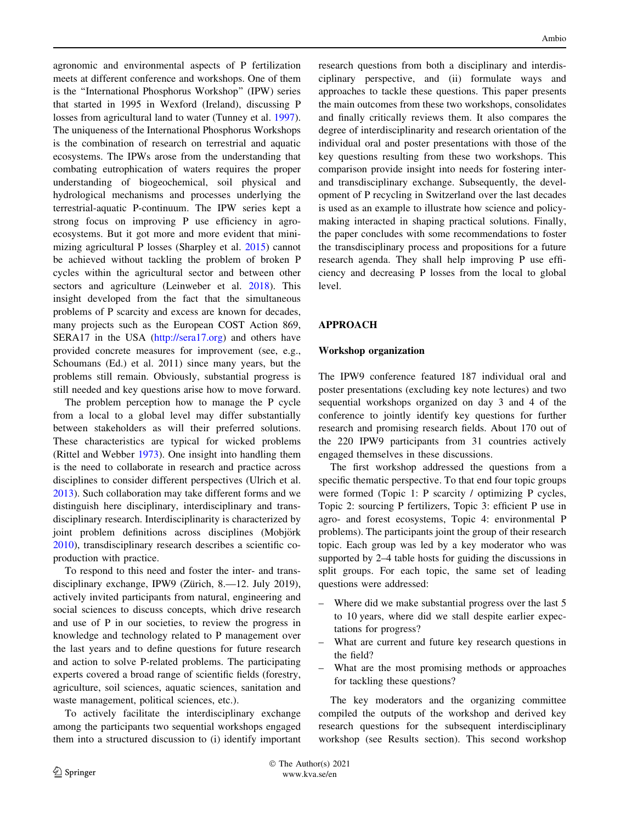agronomic and environmental aspects of P fertilization meets at different conference and workshops. One of them is the ''International Phosphorus Workshop'' (IPW) series that started in 1995 in Wexford (Ireland), discussing P losses from agricultural land to water (Tunney et al. [1997](#page-10-0)). The uniqueness of the International Phosphorus Workshops is the combination of research on terrestrial and aquatic ecosystems. The IPWs arose from the understanding that combating eutrophication of waters requires the proper understanding of biogeochemical, soil physical and hydrological mechanisms and processes underlying the terrestrial-aquatic P-continuum. The IPW series kept a strong focus on improving P use efficiency in agroecosystems. But it got more and more evident that minimizing agricultural P losses (Sharpley et al. [2015\)](#page-10-0) cannot be achieved without tackling the problem of broken P cycles within the agricultural sector and between other sectors and agriculture (Leinweber et al. [2018](#page-9-0)). This insight developed from the fact that the simultaneous problems of P scarcity and excess are known for decades, many projects such as the European COST Action 869, SERA17 in the USA [\(http://sera17.org](http://sera17.org)) and others have provided concrete measures for improvement (see, e.g., Schoumans (Ed.) et al. 2011) since many years, but the problems still remain. Obviously, substantial progress is still needed and key questions arise how to move forward.

The problem perception how to manage the P cycle from a local to a global level may differ substantially between stakeholders as will their preferred solutions. These characteristics are typical for wicked problems (Rittel and Webber [1973\)](#page-10-0). One insight into handling them is the need to collaborate in research and practice across disciplines to consider different perspectives (Ulrich et al. [2013\)](#page-10-0). Such collaboration may take different forms and we distinguish here disciplinary, interdisciplinary and transdisciplinary research. Interdisciplinarity is characterized by joint problem definitions across disciplines (Mobjörk [2010\)](#page-9-0), transdisciplinary research describes a scientific coproduction with practice.

To respond to this need and foster the inter- and transdisciplinary exchange, IPW9 (Zürich, 8.—12. July 2019), actively invited participants from natural, engineering and social sciences to discuss concepts, which drive research and use of P in our societies, to review the progress in knowledge and technology related to P management over the last years and to define questions for future research and action to solve P-related problems. The participating experts covered a broad range of scientific fields (forestry, agriculture, soil sciences, aquatic sciences, sanitation and waste management, political sciences, etc.).

To actively facilitate the interdisciplinary exchange among the participants two sequential workshops engaged them into a structured discussion to (i) identify important research questions from both a disciplinary and interdisciplinary perspective, and (ii) formulate ways and approaches to tackle these questions. This paper presents the main outcomes from these two workshops, consolidates and finally critically reviews them. It also compares the degree of interdisciplinarity and research orientation of the individual oral and poster presentations with those of the key questions resulting from these two workshops. This comparison provide insight into needs for fostering interand transdisciplinary exchange. Subsequently, the development of P recycling in Switzerland over the last decades is used as an example to illustrate how science and policymaking interacted in shaping practical solutions. Finally, the paper concludes with some recommendations to foster the transdisciplinary process and propositions for a future research agenda. They shall help improving P use efficiency and decreasing P losses from the local to global level.

# APPROACH

## Workshop organization

The IPW9 conference featured 187 individual oral and poster presentations (excluding key note lectures) and two sequential workshops organized on day 3 and 4 of the conference to jointly identify key questions for further research and promising research fields. About 170 out of the 220 IPW9 participants from 31 countries actively engaged themselves in these discussions.

The first workshop addressed the questions from a specific thematic perspective. To that end four topic groups were formed (Topic 1: P scarcity / optimizing P cycles, Topic 2: sourcing P fertilizers, Topic 3: efficient P use in agro- and forest ecosystems, Topic 4: environmental P problems). The participants joint the group of their research topic. Each group was led by a key moderator who was supported by 2–4 table hosts for guiding the discussions in split groups. For each topic, the same set of leading questions were addressed:

- Where did we make substantial progress over the last 5 to 10 years, where did we stall despite earlier expectations for progress?
- What are current and future key research questions in the field?
- What are the most promising methods or approaches for tackling these questions?

The key moderators and the organizing committee compiled the outputs of the workshop and derived key research questions for the subsequent interdisciplinary workshop (see Results section). This second workshop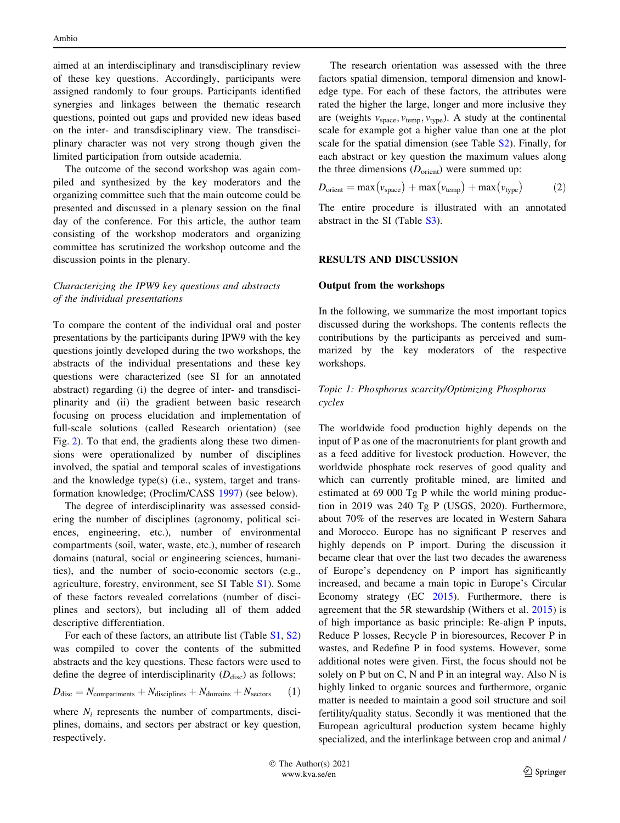<span id="page-2-0"></span>aimed at an interdisciplinary and transdisciplinary review of these key questions. Accordingly, participants were assigned randomly to four groups. Participants identified synergies and linkages between the thematic research questions, pointed out gaps and provided new ideas based on the inter- and transdisciplinary view. The transdisciplinary character was not very strong though given the limited participation from outside academia.

The outcome of the second workshop was again compiled and synthesized by the key moderators and the organizing committee such that the main outcome could be presented and discussed in a plenary session on the final day of the conference. For this article, the author team consisting of the workshop moderators and organizing committee has scrutinized the workshop outcome and the discussion points in the plenary.

# Characterizing the IPW9 key questions and abstracts of the individual presentations

To compare the content of the individual oral and poster presentations by the participants during IPW9 with the key questions jointly developed during the two workshops, the abstracts of the individual presentations and these key questions were characterized (see SI for an annotated abstract) regarding (i) the degree of inter- and transdisciplinarity and (ii) the gradient between basic research focusing on process elucidation and implementation of full-scale solutions (called Research orientation) (see Fig. [2](#page-6-0)). To that end, the gradients along these two dimensions were operationalized by number of disciplines involved, the spatial and temporal scales of investigations and the knowledge type(s) (i.e., system, target and transformation knowledge; (Proclim/CASS [1997\)](#page-10-0) (see below).

The degree of interdisciplinarity was assessed considering the number of disciplines (agronomy, political sciences, engineering, etc.), number of environmental compartments (soil, water, waste, etc.), number of research domains (natural, social or engineering sciences, humanities), and the number of socio-economic sectors (e.g., agriculture, forestry, environment, see SI Table [S1](http://dx.doi.org/10.1007/s13280-021-01562-6)). Some of these factors revealed correlations (number of disciplines and sectors), but including all of them added descriptive differentiation.

For each of these factors, an attribute list (Table [S1](http://dx.doi.org/10.1007/s13280-021-01562-6), [S2\)](http://dx.doi.org/10.1007/s13280-021-01562-6) was compiled to cover the contents of the submitted abstracts and the key questions. These factors were used to define the degree of interdisciplinarity  $(D_{\text{disc}})$  as follows:

$$
D_{\text{disc}} = N_{\text{compartments}} + N_{\text{disciplines}} + N_{\text{domains}} + N_{\text{sectors}} \tag{1}
$$

where  $N_i$  represents the number of compartments, disciplines, domains, and sectors per abstract or key question, respectively.

The research orientation was assessed with the three factors spatial dimension, temporal dimension and knowledge type. For each of these factors, the attributes were rated the higher the large, longer and more inclusive they are (weights  $v_{\text{space}}$ ,  $v_{\text{temp}}$ ,  $v_{\text{type}}$ ). A study at the continental scale for example got a higher value than one at the plot scale for the spatial dimension (see Table [S2\)](http://dx.doi.org/10.1007/s13280-021-01562-6). Finally, for each abstract or key question the maximum values along the three dimensions  $(D_{\text{orient}})$  were summed up:

$$
D_{\text{orient}} = \max(v_{\text{space}}) + \max(v_{\text{temp}}) + \max(v_{\text{type}})
$$
 (2)

The entire procedure is illustrated with an annotated abstract in the SI (Table [S3\)](http://dx.doi.org/10.1007/s13280-021-01562-6).

## RESULTS AND DISCUSSION

#### Output from the workshops

In the following, we summarize the most important topics discussed during the workshops. The contents reflects the contributions by the participants as perceived and summarized by the key moderators of the respective workshops.

## Topic 1: Phosphorus scarcity/Optimizing Phosphorus cycles

The worldwide food production highly depends on the input of P as one of the macronutrients for plant growth and as a feed additive for livestock production. However, the worldwide phosphate rock reserves of good quality and which can currently profitable mined, are limited and estimated at 69 000 Tg P while the world mining production in 2019 was 240 Tg P (USGS, 2020). Furthermore, about 70% of the reserves are located in Western Sahara and Morocco. Europe has no significant P reserves and highly depends on P import. During the discussion it became clear that over the last two decades the awareness of Europe's dependency on P import has significantly increased, and became a main topic in Europe's Circular Economy strategy (EC [2015\)](#page-9-0). Furthermore, there is agreement that the 5R stewardship (Withers et al. [2015](#page-10-0)) is of high importance as basic principle: Re-align P inputs, Reduce P losses, Recycle P in bioresources, Recover P in wastes, and Redefine P in food systems. However, some additional notes were given. First, the focus should not be solely on P but on C, N and P in an integral way. Also N is highly linked to organic sources and furthermore, organic matter is needed to maintain a good soil structure and soil fertility/quality status. Secondly it was mentioned that the European agricultural production system became highly specialized, and the interlinkage between crop and animal /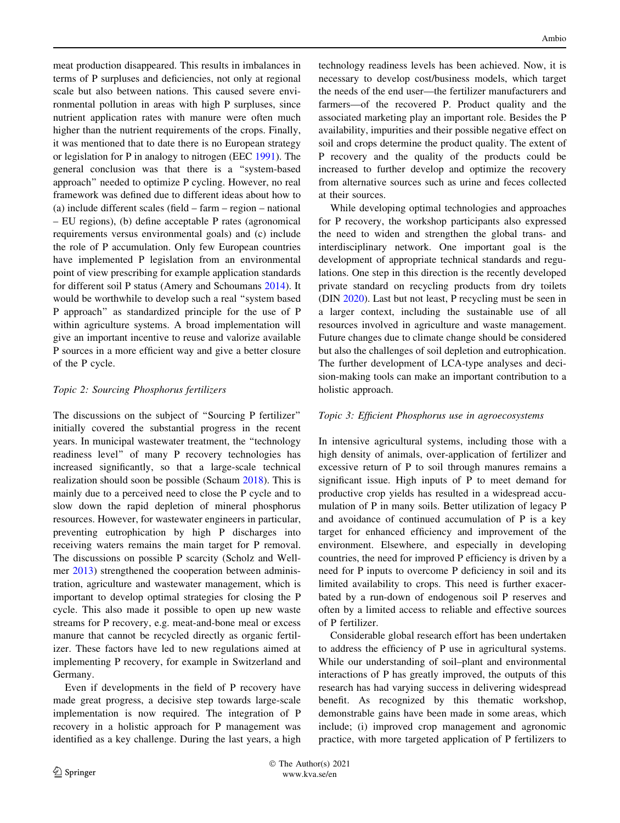meat production disappeared. This results in imbalances in terms of P surpluses and deficiencies, not only at regional scale but also between nations. This caused severe environmental pollution in areas with high P surpluses, since nutrient application rates with manure were often much higher than the nutrient requirements of the crops. Finally, it was mentioned that to date there is no European strategy or legislation for P in analogy to nitrogen (EEC [1991](#page-9-0)). The general conclusion was that there is a ''system-based approach'' needed to optimize P cycling. However, no real framework was defined due to different ideas about how to (a) include different scales (field – farm – region – national – EU regions), (b) define acceptable P rates (agronomical requirements versus environmental goals) and (c) include the role of P accumulation. Only few European countries have implemented P legislation from an environmental point of view prescribing for example application standards for different soil P status (Amery and Schoumans [2014](#page-8-0)). It would be worthwhile to develop such a real ''system based P approach'' as standardized principle for the use of P within agriculture systems. A broad implementation will give an important incentive to reuse and valorize available P sources in a more efficient way and give a better closure of the P cycle.

#### Topic 2: Sourcing Phosphorus fertilizers

The discussions on the subject of ''Sourcing P fertilizer'' initially covered the substantial progress in the recent years. In municipal wastewater treatment, the ''technology readiness level'' of many P recovery technologies has increased significantly, so that a large-scale technical realization should soon be possible (Schaum [2018](#page-10-0)). This is mainly due to a perceived need to close the P cycle and to slow down the rapid depletion of mineral phosphorus resources. However, for wastewater engineers in particular, preventing eutrophication by high P discharges into receiving waters remains the main target for P removal. The discussions on possible P scarcity (Scholz and Wellmer [2013\)](#page-10-0) strengthened the cooperation between administration, agriculture and wastewater management, which is important to develop optimal strategies for closing the P cycle. This also made it possible to open up new waste streams for P recovery, e.g. meat-and-bone meal or excess manure that cannot be recycled directly as organic fertilizer. These factors have led to new regulations aimed at implementing P recovery, for example in Switzerland and Germany.

Even if developments in the field of P recovery have made great progress, a decisive step towards large-scale implementation is now required. The integration of P recovery in a holistic approach for P management was identified as a key challenge. During the last years, a high technology readiness levels has been achieved. Now, it is necessary to develop cost/business models, which target the needs of the end user—the fertilizer manufacturers and farmers—of the recovered P. Product quality and the associated marketing play an important role. Besides the P availability, impurities and their possible negative effect on soil and crops determine the product quality. The extent of P recovery and the quality of the products could be increased to further develop and optimize the recovery from alternative sources such as urine and feces collected at their sources.

While developing optimal technologies and approaches for P recovery, the workshop participants also expressed the need to widen and strengthen the global trans- and interdisciplinary network. One important goal is the development of appropriate technical standards and regulations. One step in this direction is the recently developed private standard on recycling products from dry toilets (DIN [2020\)](#page-9-0). Last but not least, P recycling must be seen in a larger context, including the sustainable use of all resources involved in agriculture and waste management. Future changes due to climate change should be considered but also the challenges of soil depletion and eutrophication. The further development of LCA-type analyses and decision-making tools can make an important contribution to a holistic approach.

## Topic 3: Efficient Phosphorus use in agroecosystems

In intensive agricultural systems, including those with a high density of animals, over-application of fertilizer and excessive return of P to soil through manures remains a significant issue. High inputs of P to meet demand for productive crop yields has resulted in a widespread accumulation of P in many soils. Better utilization of legacy P and avoidance of continued accumulation of P is a key target for enhanced efficiency and improvement of the environment. Elsewhere, and especially in developing countries, the need for improved P efficiency is driven by a need for P inputs to overcome P deficiency in soil and its limited availability to crops. This need is further exacerbated by a run-down of endogenous soil P reserves and often by a limited access to reliable and effective sources of P fertilizer.

Considerable global research effort has been undertaken to address the efficiency of P use in agricultural systems. While our understanding of soil–plant and environmental interactions of P has greatly improved, the outputs of this research has had varying success in delivering widespread benefit. As recognized by this thematic workshop, demonstrable gains have been made in some areas, which include; (i) improved crop management and agronomic practice, with more targeted application of P fertilizers to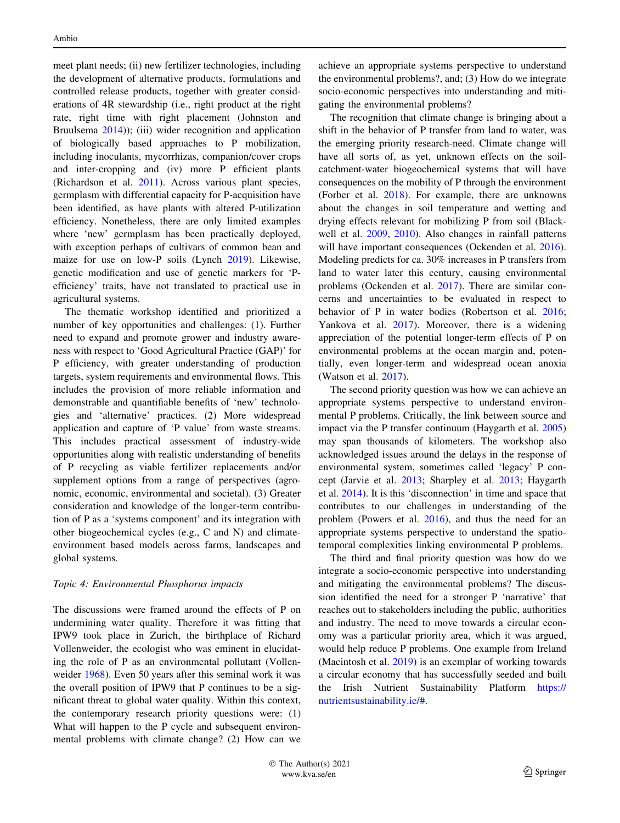meet plant needs; (ii) new fertilizer technologies, including the development of alternative products, formulations and controlled release products, together with greater considerations of 4R stewardship (i.e., right product at the right rate, right time with right placement (Johnston and Bruulsema  $2014$ ); (iii) wider recognition and application of biologically based approaches to P mobilization, including inoculants, mycorrhizas, companion/cover crops and inter-cropping and (iv) more P efficient plants (Richardson et al. [2011](#page-10-0)). Across various plant species, germplasm with differential capacity for P-acquisition have been identified, as have plants with altered P-utilization efficiency. Nonetheless, there are only limited examples where 'new' germplasm has been practically deployed, with exception perhaps of cultivars of common bean and maize for use on low-P soils (Lynch [2019\)](#page-9-0). Likewise, genetic modification and use of genetic markers for 'Pefficiency' traits, have not translated to practical use in agricultural systems.

The thematic workshop identified and prioritized a number of key opportunities and challenges: (1). Further need to expand and promote grower and industry awareness with respect to 'Good Agricultural Practice (GAP)' for P efficiency, with greater understanding of production targets, system requirements and environmental flows. This includes the provision of more reliable information and demonstrable and quantifiable benefits of 'new' technologies and 'alternative' practices. (2) More widespread application and capture of 'P value' from waste streams. This includes practical assessment of industry-wide opportunities along with realistic understanding of benefits of P recycling as viable fertilizer replacements and/or supplement options from a range of perspectives (agronomic, economic, environmental and societal). (3) Greater consideration and knowledge of the longer-term contribution of P as a 'systems component' and its integration with other biogeochemical cycles (e.g., C and N) and climateenvironment based models across farms, landscapes and global systems.

## Topic 4: Environmental Phosphorus impacts

The discussions were framed around the effects of P on undermining water quality. Therefore it was fitting that IPW9 took place in Zurich, the birthplace of Richard Vollenweider, the ecologist who was eminent in elucidating the role of P as an environmental pollutant (Vollenweider [1968](#page-10-0)). Even 50 years after this seminal work it was the overall position of IPW9 that P continues to be a significant threat to global water quality. Within this context, the contemporary research priority questions were: (1) What will happen to the P cycle and subsequent environmental problems with climate change? (2) How can we achieve an appropriate systems perspective to understand the environmental problems?, and; (3) How do we integrate socio-economic perspectives into understanding and mitigating the environmental problems?

The recognition that climate change is bringing about a shift in the behavior of P transfer from land to water, was the emerging priority research-need. Climate change will have all sorts of, as yet, unknown effects on the soilcatchment-water biogeochemical systems that will have consequences on the mobility of P through the environment (Forber et al. [2018\)](#page-9-0). For example, there are unknowns about the changes in soil temperature and wetting and drying effects relevant for mobilizing P from soil (Blackwell et al. [2009](#page-9-0), [2010\)](#page-9-0). Also changes in rainfall patterns will have important consequences (Ockenden et al. [2016](#page-9-0)). Modeling predicts for ca. 30% increases in P transfers from land to water later this century, causing environmental problems (Ockenden et al. [2017\)](#page-9-0). There are similar concerns and uncertainties to be evaluated in respect to behavior of P in water bodies (Robertson et al. [2016](#page-10-0); Yankova et al. [2017\)](#page-10-0). Moreover, there is a widening appreciation of the potential longer-term effects of P on environmental problems at the ocean margin and, potentially, even longer-term and widespread ocean anoxia (Watson et al. [2017](#page-10-0)).

The second priority question was how we can achieve an appropriate systems perspective to understand environmental P problems. Critically, the link between source and impact via the P transfer continuum (Haygarth et al. [2005\)](#page-9-0) may span thousands of kilometers. The workshop also acknowledged issues around the delays in the response of environmental system, sometimes called 'legacy' P concept (Jarvie et al. [2013;](#page-9-0) Sharpley et al. [2013;](#page-10-0) Haygarth et al. [2014](#page-9-0)). It is this 'disconnection' in time and space that contributes to our challenges in understanding of the problem (Powers et al. [2016\)](#page-9-0), and thus the need for an appropriate systems perspective to understand the spatiotemporal complexities linking environmental P problems.

The third and final priority question was how do we integrate a socio-economic perspective into understanding and mitigating the environmental problems? The discussion identified the need for a stronger P 'narrative' that reaches out to stakeholders including the public, authorities and industry. The need to move towards a circular economy was a particular priority area, which it was argued, would help reduce P problems. One example from Ireland (Macintosh et al. [2019](#page-9-0)) is an exemplar of working towards a circular economy that has successfully seeded and built the Irish Nutrient Sustainability Platform [https://](https://nutrientsustainability.ie/#) [nutrientsustainability.ie/#](https://nutrientsustainability.ie/#).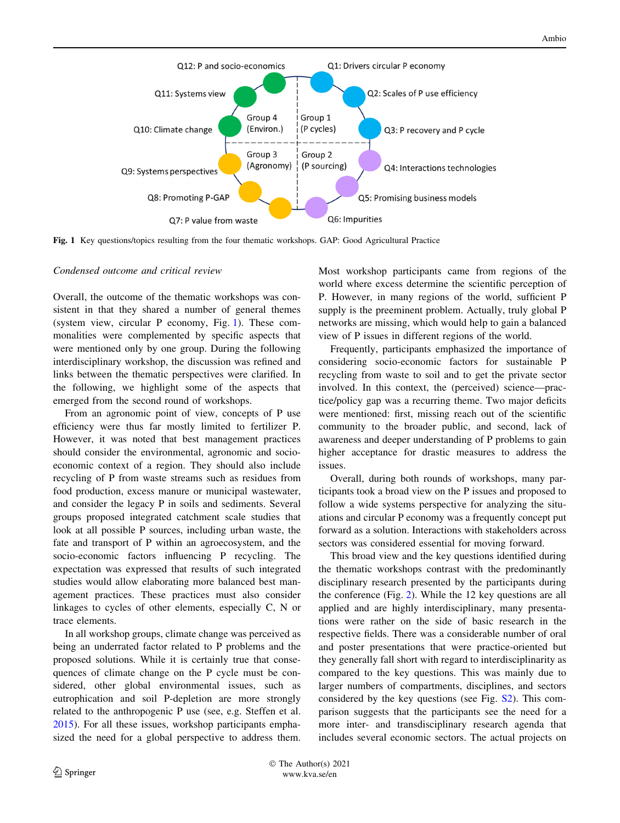<span id="page-5-0"></span>

Fig. 1 Key questions/topics resulting from the four thematic workshops. GAP: Good Agricultural Practice

#### Condensed outcome and critical review

Overall, the outcome of the thematic workshops was consistent in that they shared a number of general themes (system view, circular P economy, Fig. 1). These commonalities were complemented by specific aspects that were mentioned only by one group. During the following interdisciplinary workshop, the discussion was refined and links between the thematic perspectives were clarified. In the following, we highlight some of the aspects that emerged from the second round of workshops.

From an agronomic point of view, concepts of P use efficiency were thus far mostly limited to fertilizer P. However, it was noted that best management practices should consider the environmental, agronomic and socioeconomic context of a region. They should also include recycling of P from waste streams such as residues from food production, excess manure or municipal wastewater, and consider the legacy P in soils and sediments. Several groups proposed integrated catchment scale studies that look at all possible P sources, including urban waste, the fate and transport of P within an agroecosystem, and the socio-economic factors influencing P recycling. The expectation was expressed that results of such integrated studies would allow elaborating more balanced best management practices. These practices must also consider linkages to cycles of other elements, especially C, N or trace elements.

In all workshop groups, climate change was perceived as being an underrated factor related to P problems and the proposed solutions. While it is certainly true that consequences of climate change on the P cycle must be considered, other global environmental issues, such as eutrophication and soil P-depletion are more strongly related to the anthropogenic P use (see, e.g. Steffen et al. [2015\)](#page-10-0). For all these issues, workshop participants emphasized the need for a global perspective to address them. Most workshop participants came from regions of the world where excess determine the scientific perception of P. However, in many regions of the world, sufficient P supply is the preeminent problem. Actually, truly global P networks are missing, which would help to gain a balanced view of P issues in different regions of the world.

Frequently, participants emphasized the importance of considering socio-economic factors for sustainable P recycling from waste to soil and to get the private sector involved. In this context, the (perceived) science—practice/policy gap was a recurring theme. Two major deficits were mentioned: first, missing reach out of the scientific community to the broader public, and second, lack of awareness and deeper understanding of P problems to gain higher acceptance for drastic measures to address the issues.

Overall, during both rounds of workshops, many participants took a broad view on the P issues and proposed to follow a wide systems perspective for analyzing the situations and circular P economy was a frequently concept put forward as a solution. Interactions with stakeholders across sectors was considered essential for moving forward.

This broad view and the key questions identified during the thematic workshops contrast with the predominantly disciplinary research presented by the participants during the conference (Fig. [2](#page-6-0)). While the 12 key questions are all applied and are highly interdisciplinary, many presentations were rather on the side of basic research in the respective fields. There was a considerable number of oral and poster presentations that were practice-oriented but they generally fall short with regard to interdisciplinarity as compared to the key questions. This was mainly due to larger numbers of compartments, disciplines, and sectors considered by the key questions (see Fig. [S2\)](http://dx.doi.org/10.1007/s13280-021-01562-6). This comparison suggests that the participants see the need for a more inter- and transdisciplinary research agenda that includes several economic sectors. The actual projects on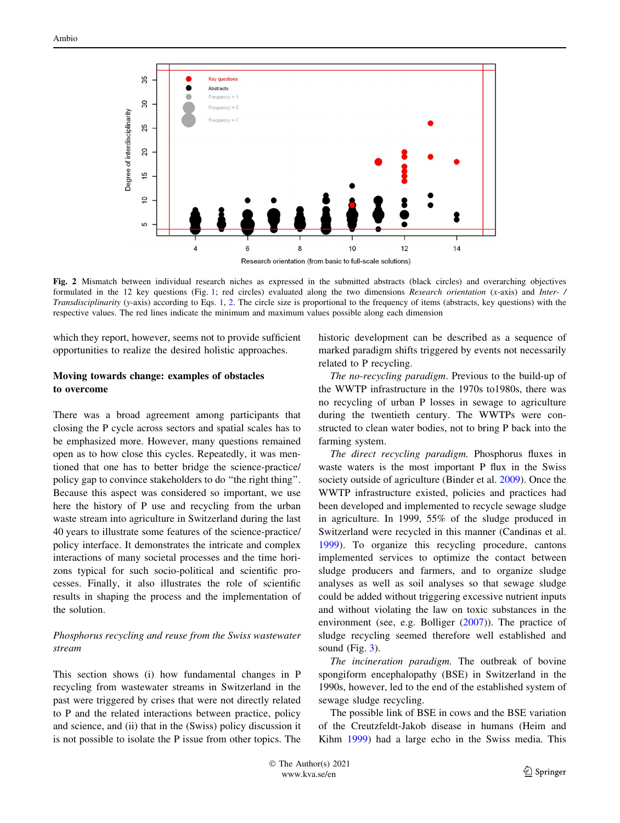<span id="page-6-0"></span>

Fig. 2 Mismatch between individual research niches as expressed in the submitted abstracts (black circles) and overarching objectives formulated in the [1](#page-5-0)2 key questions (Fig. 1; red circles) evaluated along the two dimensions Research orientation (x-axis) and Inter- / Transdisciplinarity (y-axis) according to Eqs. [1,](#page-2-0) [2](#page-2-0). The circle size is proportional to the frequency of items (abstracts, key questions) with the respective values. The red lines indicate the minimum and maximum values possible along each dimension

which they report, however, seems not to provide sufficient opportunities to realize the desired holistic approaches.

## Moving towards change: examples of obstacles to overcome

There was a broad agreement among participants that closing the P cycle across sectors and spatial scales has to be emphasized more. However, many questions remained open as to how close this cycles. Repeatedly, it was mentioned that one has to better bridge the science-practice/ policy gap to convince stakeholders to do ''the right thing''. Because this aspect was considered so important, we use here the history of P use and recycling from the urban waste stream into agriculture in Switzerland during the last 40 years to illustrate some features of the science-practice/ policy interface. It demonstrates the intricate and complex interactions of many societal processes and the time horizons typical for such socio-political and scientific processes. Finally, it also illustrates the role of scientific results in shaping the process and the implementation of the solution.

## Phosphorus recycling and reuse from the Swiss wastewater stream

This section shows (i) how fundamental changes in P recycling from wastewater streams in Switzerland in the past were triggered by crises that were not directly related to P and the related interactions between practice, policy and science, and (ii) that in the (Swiss) policy discussion it is not possible to isolate the P issue from other topics. The historic development can be described as a sequence of marked paradigm shifts triggered by events not necessarily related to P recycling.

The no-recycling paradigm. Previous to the build-up of the WWTP infrastructure in the 1970s to1980s, there was no recycling of urban P losses in sewage to agriculture during the twentieth century. The WWTPs were constructed to clean water bodies, not to bring P back into the farming system.

The direct recycling paradigm. Phosphorus fluxes in waste waters is the most important P flux in the Swiss society outside of agriculture (Binder et al. [2009](#page-9-0)). Once the WWTP infrastructure existed, policies and practices had been developed and implemented to recycle sewage sludge in agriculture. In 1999, 55% of the sludge produced in Switzerland were recycled in this manner (Candinas et al. [1999](#page-9-0)). To organize this recycling procedure, cantons implemented services to optimize the contact between sludge producers and farmers, and to organize sludge analyses as well as soil analyses so that sewage sludge could be added without triggering excessive nutrient inputs and without violating the law on toxic substances in the environment (see, e.g. Bolliger [\(2007](#page-9-0))). The practice of sludge recycling seemed therefore well established and sound  $(Fig. 3)$  $(Fig. 3)$ .

The incineration paradigm. The outbreak of bovine spongiform encephalopathy (BSE) in Switzerland in the 1990s, however, led to the end of the established system of sewage sludge recycling.

The possible link of BSE in cows and the BSE variation of the Creutzfeldt-Jakob disease in humans (Heim and Kihm [1999](#page-9-0)) had a large echo in the Swiss media. This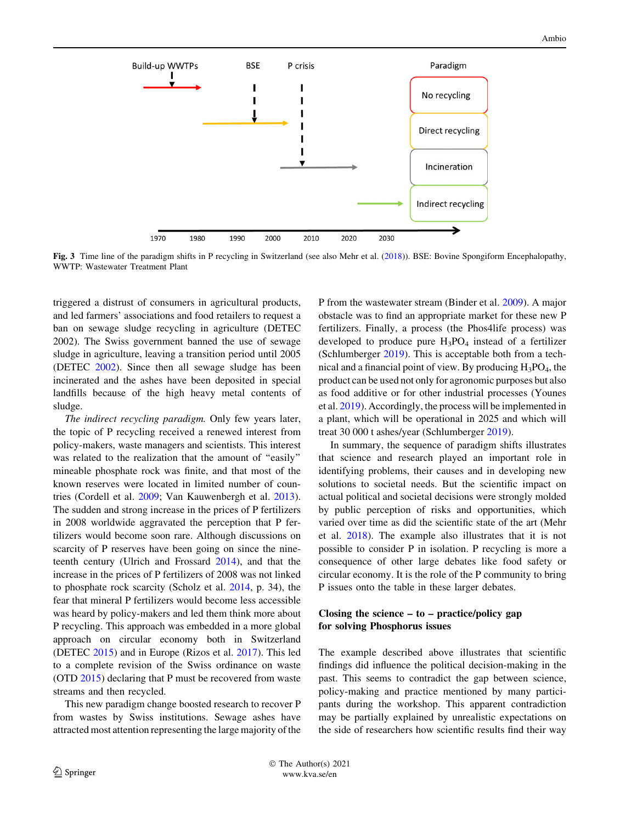<span id="page-7-0"></span>

Fig. 3 Time line of the paradigm shifts in P recycling in Switzerland (see also Mehr et al. ([2018](#page-9-0))). BSE: Bovine Spongiform Encephalopathy, WWTP: Wastewater Treatment Plant

triggered a distrust of consumers in agricultural products, and led farmers' associations and food retailers to request a ban on sewage sludge recycling in agriculture (DETEC 2002). The Swiss government banned the use of sewage sludge in agriculture, leaving a transition period until 2005 (DETEC [2002](#page-9-0)). Since then all sewage sludge has been incinerated and the ashes have been deposited in special landfills because of the high heavy metal contents of sludge.

The indirect recycling paradigm. Only few years later, the topic of P recycling received a renewed interest from policy-makers, waste managers and scientists. This interest was related to the realization that the amount of "easily" mineable phosphate rock was finite, and that most of the known reserves were located in limited number of countries (Cordell et al. [2009;](#page-9-0) Van Kauwenbergh et al. [2013](#page-10-0)). The sudden and strong increase in the prices of P fertilizers in 2008 worldwide aggravated the perception that P fertilizers would become soon rare. Although discussions on scarcity of P reserves have been going on since the nineteenth century (Ulrich and Frossard [2014](#page-10-0)), and that the increase in the prices of P fertilizers of 2008 was not linked to phosphate rock scarcity (Scholz et al. [2014,](#page-10-0) p. 34), the fear that mineral P fertilizers would become less accessible was heard by policy-makers and led them think more about P recycling. This approach was embedded in a more global approach on circular economy both in Switzerland (DETEC [2015](#page-9-0)) and in Europe (Rizos et al. [2017](#page-10-0)). This led to a complete revision of the Swiss ordinance on waste (OTD [2015](#page-9-0)) declaring that P must be recovered from waste streams and then recycled.

This new paradigm change boosted research to recover P from wastes by Swiss institutions. Sewage ashes have attracted most attention representing the large majority of the P from the wastewater stream (Binder et al. [2009\)](#page-9-0). A major obstacle was to find an appropriate market for these new P fertilizers. Finally, a process (the Phos4life process) was developed to produce pure  $H_3PO_4$  instead of a fertilizer (Schlumberger [2019\)](#page-10-0). This is acceptable both from a technical and a financial point of view. By producing  $H_3PO_4$ , the product can be used not only for agronomic purposes but also as food additive or for other industrial processes (Younes et al. [2019\)](#page-10-0). Accordingly, the process will be implemented in a plant, which will be operational in 2025 and which will treat 30 000 t ashes/year (Schlumberger [2019\)](#page-10-0).

In summary, the sequence of paradigm shifts illustrates that science and research played an important role in identifying problems, their causes and in developing new solutions to societal needs. But the scientific impact on actual political and societal decisions were strongly molded by public perception of risks and opportunities, which varied over time as did the scientific state of the art (Mehr et al. [2018](#page-9-0)). The example also illustrates that it is not possible to consider P in isolation. P recycling is more a consequence of other large debates like food safety or circular economy. It is the role of the P community to bring P issues onto the table in these larger debates.

## Closing the science  $-$  to  $-$  practice/policy gap for solving Phosphorus issues

The example described above illustrates that scientific findings did influence the political decision-making in the past. This seems to contradict the gap between science, policy-making and practice mentioned by many participants during the workshop. This apparent contradiction may be partially explained by unrealistic expectations on the side of researchers how scientific results find their way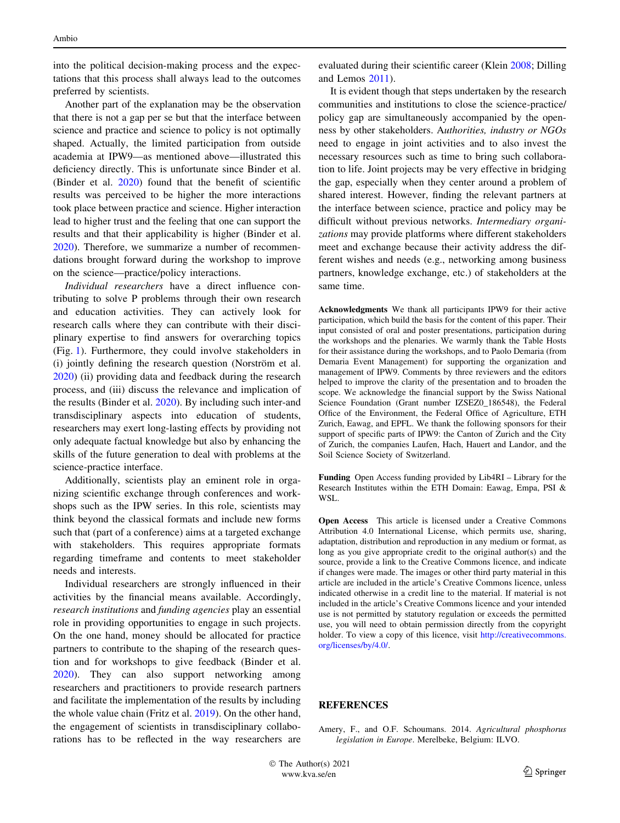<span id="page-8-0"></span>into the political decision-making process and the expectations that this process shall always lead to the outcomes preferred by scientists.

Another part of the explanation may be the observation that there is not a gap per se but that the interface between science and practice and science to policy is not optimally shaped. Actually, the limited participation from outside academia at IPW9—as mentioned above—illustrated this deficiency directly. This is unfortunate since Binder et al. (Binder et al. [2020\)](#page-9-0) found that the benefit of scientific results was perceived to be higher the more interactions took place between practice and science. Higher interaction lead to higher trust and the feeling that one can support the results and that their applicability is higher (Binder et al. [2020\)](#page-9-0). Therefore, we summarize a number of recommendations brought forward during the workshop to improve on the science—practice/policy interactions.

Individual researchers have a direct influence contributing to solve P problems through their own research and education activities. They can actively look for research calls where they can contribute with their disciplinary expertise to find answers for overarching topics (Fig. [1\)](#page-5-0). Furthermore, they could involve stakeholders in (i) jointly defining the research question (Norström et al. [2020\)](#page-9-0) (ii) providing data and feedback during the research process, and (iii) discuss the relevance and implication of the results (Binder et al. [2020](#page-9-0)). By including such inter-and transdisciplinary aspects into education of students, researchers may exert long-lasting effects by providing not only adequate factual knowledge but also by enhancing the skills of the future generation to deal with problems at the science-practice interface.

Additionally, scientists play an eminent role in organizing scientific exchange through conferences and workshops such as the IPW series. In this role, scientists may think beyond the classical formats and include new forms such that (part of a conference) aims at a targeted exchange with stakeholders. This requires appropriate formats regarding timeframe and contents to meet stakeholder needs and interests.

Individual researchers are strongly influenced in their activities by the financial means available. Accordingly, research institutions and funding agencies play an essential role in providing opportunities to engage in such projects. On the one hand, money should be allocated for practice partners to contribute to the shaping of the research question and for workshops to give feedback (Binder et al. [2020\)](#page-9-0). They can also support networking among researchers and practitioners to provide research partners and facilitate the implementation of the results by including the whole value chain (Fritz et al. [2019\)](#page-9-0). On the other hand, the engagement of scientists in transdisciplinary collaborations has to be reflected in the way researchers are evaluated during their scientific career (Klein [2008;](#page-9-0) Dilling and Lemos [2011](#page-9-0)).

It is evident though that steps undertaken by the research communities and institutions to close the science-practice/ policy gap are simultaneously accompanied by the openness by other stakeholders. Authorities, industry or NGOs need to engage in joint activities and to also invest the necessary resources such as time to bring such collaboration to life. Joint projects may be very effective in bridging the gap, especially when they center around a problem of shared interest. However, finding the relevant partners at the interface between science, practice and policy may be difficult without previous networks. Intermediary organizations may provide platforms where different stakeholders meet and exchange because their activity address the different wishes and needs (e.g., networking among business partners, knowledge exchange, etc.) of stakeholders at the same time.

Acknowledgments We thank all participants IPW9 for their active participation, which build the basis for the content of this paper. Their input consisted of oral and poster presentations, participation during the workshops and the plenaries. We warmly thank the Table Hosts for their assistance during the workshops, and to Paolo Demaria (from Demaria Event Management) for supporting the organization and management of IPW9. Comments by three reviewers and the editors helped to improve the clarity of the presentation and to broaden the scope. We acknowledge the financial support by the Swiss National Science Foundation (Grant number IZSEZ0\_186548), the Federal Office of the Environment, the Federal Office of Agriculture, ETH Zurich, Eawag, and EPFL. We thank the following sponsors for their support of specific parts of IPW9: the Canton of Zurich and the City of Zurich, the companies Laufen, Hach, Hauert and Landor, and the Soil Science Society of Switzerland.

Funding Open Access funding provided by Lib4RI – Library for the Research Institutes within the ETH Domain: Eawag, Empa, PSI & WSL.

Open Access This article is licensed under a Creative Commons Attribution 4.0 International License, which permits use, sharing, adaptation, distribution and reproduction in any medium or format, as long as you give appropriate credit to the original author(s) and the source, provide a link to the Creative Commons licence, and indicate if changes were made. The images or other third party material in this article are included in the article's Creative Commons licence, unless indicated otherwise in a credit line to the material. If material is not included in the article's Creative Commons licence and your intended use is not permitted by statutory regulation or exceeds the permitted use, you will need to obtain permission directly from the copyright holder. To view a copy of this licence, visit [http://creativecommons.](http://creativecommons.org/licenses/by/4.0/) [org/licenses/by/4.0/.](http://creativecommons.org/licenses/by/4.0/)

## REFERENCES

Amery, F., and O.F. Schoumans. 2014. Agricultural phosphorus legislation in Europe. Merelbeke, Belgium: ILVO.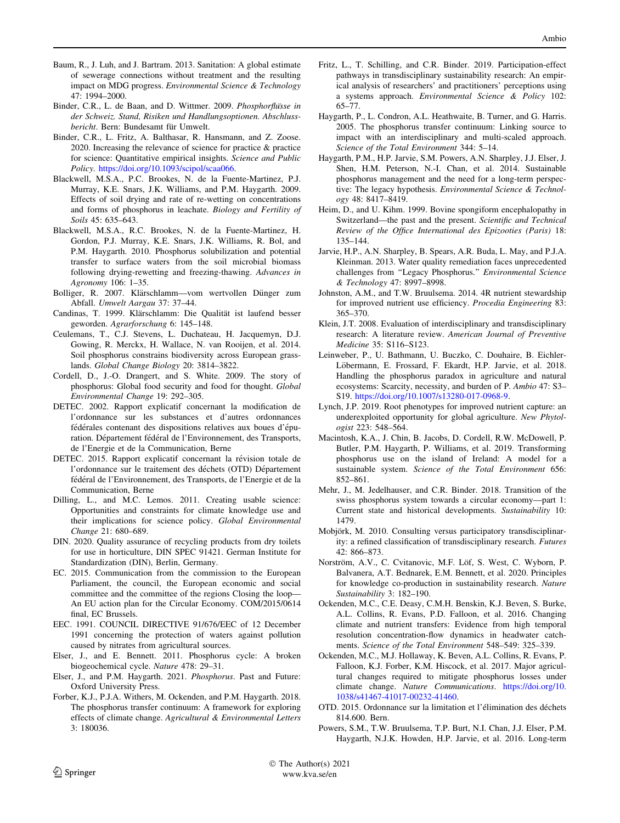- <span id="page-9-0"></span>Baum, R., J. Luh, and J. Bartram. 2013. Sanitation: A global estimate of sewerage connections without treatment and the resulting impact on MDG progress. Environmental Science & Technology 47: 1994–2000.
- Binder, C.R., L. de Baan, and D. Wittmer. 2009. Phosphorflusse in der Schweiz. Stand, Risiken und Handlungsoptionen. Abschlussbericht. Bern: Bundesamt für Umwelt.
- Binder, C.R., L. Fritz, A. Balthasar, R. Hansmann, and Z. Zoose. 2020. Increasing the relevance of science for practice & practice for science: Quantitative empirical insights. Science and Public Policy. [https://doi.org/10.1093/scipol/scaa066.](https://doi.org/10.1093/scipol/scaa066)
- Blackwell, M.S.A., P.C. Brookes, N. de la Fuente-Martinez, P.J. Murray, K.E. Snars, J.K. Williams, and P.M. Haygarth. 2009. Effects of soil drying and rate of re-wetting on concentrations and forms of phosphorus in leachate. Biology and Fertility of Soils 45: 635–643.
- Blackwell, M.S.A., R.C. Brookes, N. de la Fuente-Martinez, H. Gordon, P.J. Murray, K.E. Snars, J.K. Williams, R. Bol, and P.M. Haygarth. 2010. Phosphorus solubilization and potential transfer to surface waters from the soil microbial biomass following drying-rewetting and freezing-thawing. Advances in Agronomy 106: 1–35.
- Bolliger, R. 2007. Klärschlamm—vom wertvollen Dünger zum Abfall. Umwelt Aargau 37: 37–44.
- Candinas, T. 1999. Klärschlamm: Die Qualität ist laufend besser geworden. Agrarforschung 6: 145–148.
- Ceulemans, T., C.J. Stevens, L. Duchateau, H. Jacquemyn, D.J. Gowing, R. Merckx, H. Wallace, N. van Rooijen, et al. 2014. Soil phosphorus constrains biodiversity across European grasslands. Global Change Biology 20: 3814–3822.
- Cordell, D., J.-O. Drangert, and S. White. 2009. The story of phosphorus: Global food security and food for thought. Global Environmental Change 19: 292–305.
- DETEC. 2002. Rapport explicatif concernant la modification de l'ordonnance sur les substances et d'autres ordonnances fédérales contenant des dispositions relatives aux boues d'épuration. Département fédéral de l'Environnement, des Transports, de l'Energie et de la Communication, Berne
- DETEC. 2015. Rapport explicatif concernant la révision totale de l'ordonnance sur le traitement des déchets (OTD) Département fédéral de l'Environnement, des Transports, de l'Energie et de la Communication, Berne
- Dilling, L., and M.C. Lemos. 2011. Creating usable science: Opportunities and constraints for climate knowledge use and their implications for science policy. Global Environmental Change 21: 680–689.
- DIN. 2020. Quality assurance of recycling products from dry toilets for use in horticulture, DIN SPEC 91421. German Institute for Standardization (DIN), Berlin, Germany.
- EC. 2015. Communication from the commission to the European Parliament, the council, the European economic and social committee and the committee of the regions Closing the loop— An EU action plan for the Circular Economy. COM/2015/0614 final, EC Brussels.
- EEC. 1991. COUNCIL DIRECTIVE 91/676/EEC of 12 December 1991 concerning the protection of waters against pollution caused by nitrates from agricultural sources.
- Elser, J., and E. Bennett. 2011. Phosphorus cycle: A broken biogeochemical cycle. Nature 478: 29–31.
- Elser, J., and P.M. Haygarth. 2021. Phosphorus. Past and Future: Oxford University Press.
- Forber, K.J., P.J.A. Withers, M. Ockenden, and P.M. Haygarth. 2018. The phosphorus transfer continuum: A framework for exploring effects of climate change. Agricultural & Environmental Letters 3: 180036.
- Fritz, L., T. Schilling, and C.R. Binder. 2019. Participation-effect pathways in transdisciplinary sustainability research: An empirical analysis of researchers' and practitioners' perceptions using a systems approach. Environmental Science & Policy 102: 65–77.
- Haygarth, P., L. Condron, A.L. Heathwaite, B. Turner, and G. Harris. 2005. The phosphorus transfer continuum: Linking source to impact with an interdisciplinary and multi-scaled approach. Science of the Total Environment 344: 5–14.
- Haygarth, P.M., H.P. Jarvie, S.M. Powers, A.N. Sharpley, J.J. Elser, J. Shen, H.M. Peterson, N.-I. Chan, et al. 2014. Sustainable phosphorus management and the need for a long-term perspective: The legacy hypothesis. Environmental Science & Technology 48: 8417–8419.
- Heim, D., and U. Kihm. 1999. Bovine spongiform encephalopathy in Switzerland—the past and the present. Scientific and Technical Review of the Office International des Epizooties (Paris) 18: 135–144.
- Jarvie, H.P., A.N. Sharpley, B. Spears, A.R. Buda, L. May, and P.J.A. Kleinman. 2013. Water quality remediation faces unprecedented challenges from ''Legacy Phosphorus.'' Environmental Science & Technology 47: 8997–8998.
- Johnston, A.M., and T.W. Bruulsema. 2014. 4R nutrient stewardship for improved nutrient use efficiency. Procedia Engineering 83: 365–370.
- Klein, J.T. 2008. Evaluation of interdisciplinary and transdisciplinary research: A literature review. American Journal of Preventive Medicine 35: S116–S123.
- Leinweber, P., U. Bathmann, U. Buczko, C. Douhaire, B. Eichler-Löbermann, E. Frossard, F. Ekardt, H.P. Jarvie, et al. 2018. Handling the phosphorus paradox in agriculture and natural ecosystems: Scarcity, necessity, and burden of P. Ambio 47: S3– S19. <https://doi.org/10.1007/s13280-017-0968-9>.
- Lynch, J.P. 2019. Root phenotypes for improved nutrient capture: an underexploited opportunity for global agriculture. New Phytologist 223: 548–564.
- Macintosh, K.A., J. Chin, B. Jacobs, D. Cordell, R.W. McDowell, P. Butler, P.M. Haygarth, P. Williams, et al. 2019. Transforming phosphorus use on the island of Ireland: A model for a sustainable system. Science of the Total Environment 656: 852–861.
- Mehr, J., M. Jedelhauser, and C.R. Binder. 2018. Transition of the swiss phosphorus system towards a circular economy—part 1: Current state and historical developments. Sustainability 10: 1479.
- Mobjörk, M. 2010. Consulting versus participatory transdisciplinarity: a refined classification of transdisciplinary research. Futures 42: 866–873.
- Norström, A.V., C. Cvitanovic, M.F. Löf, S. West, C. Wyborn, P. Balvanera, A.T. Bednarek, E.M. Bennett, et al. 2020. Principles for knowledge co-production in sustainability research. Nature Sustainability 3: 182–190.
- Ockenden, M.C., C.E. Deasy, C.M.H. Benskin, K.J. Beven, S. Burke, A.L. Collins, R. Evans, P.D. Falloon, et al. 2016. Changing climate and nutrient transfers: Evidence from high temporal resolution concentration-flow dynamics in headwater catchments. Science of the Total Environment 548–549: 325–339.
- Ockenden, M.C., M.J. Hollaway, K. Beven, A.L. Collins, R. Evans, P. Falloon, K.J. Forber, K.M. Hiscock, et al. 2017. Major agricultural changes required to mitigate phosphorus losses under climate change. Nature Communications. [https://doi.org/10.](https://doi.org/10.1038/s41467-41017-00232-41460) [1038/s41467-41017-00232-41460.](https://doi.org/10.1038/s41467-41017-00232-41460)
- OTD. 2015. Ordonnance sur la limitation et l'élimination des déchets 814.600. Bern.
- Powers, S.M., T.W. Bruulsema, T.P. Burt, N.I. Chan, J.J. Elser, P.M. Haygarth, N.J.K. Howden, H.P. Jarvie, et al. 2016. Long-term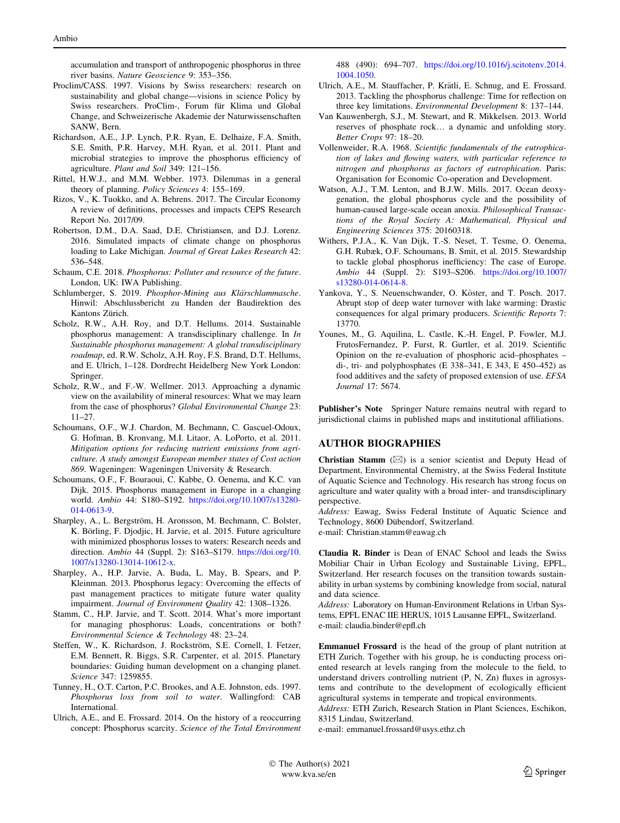<span id="page-10-0"></span>accumulation and transport of anthropogenic phosphorus in three river basins. Nature Geoscience 9: 353–356.

- Proclim/CASS. 1997. Visions by Swiss researchers: research on sustainability and global change—visions in science Policy by Swiss researchers. ProClim-, Forum für Klima und Global Change, and Schweizerische Akademie der Naturwissenschaften SANW, Bern.
- Richardson, A.E., J.P. Lynch, P.R. Ryan, E. Delhaize, F.A. Smith, S.E. Smith, P.R. Harvey, M.H. Ryan, et al. 2011. Plant and microbial strategies to improve the phosphorus efficiency of agriculture. Plant and Soil 349: 121–156.
- Rittel, H.W.J., and M.M. Webber. 1973. Dilemmas in a general theory of planning. Policy Sciences 4: 155–169.
- Rizos, V., K. Tuokko, and A. Behrens. 2017. The Circular Economy A review of definitions, processes and impacts CEPS Research Report No. 2017/09.
- Robertson, D.M., D.A. Saad, D.E. Christiansen, and D.J. Lorenz. 2016. Simulated impacts of climate change on phosphorus loading to Lake Michigan. Journal of Great Lakes Research 42: 536–548.
- Schaum, C.E. 2018. Phosphorus: Polluter and resource of the future. London, UK: IWA Publishing.
- Schlumberger, S. 2019. Phosphor-Mining aus Klärschlammasche. Hinwil: Abschlussbericht zu Handen der Baudirektion des Kantons Zürich.
- Scholz, R.W., A.H. Roy, and D.T. Hellums. 2014. Sustainable phosphorus management: A transdisciplinary challenge. In In Sustainable phosphorus management: A global transdisciplinary roadmap, ed. R.W. Scholz, A.H. Roy, F.S. Brand, D.T. Hellums, and E. Ulrich, 1–128. Dordrecht Heidelberg New York London: Springer.
- Scholz, R.W., and F.-W. Wellmer. 2013. Approaching a dynamic view on the availability of mineral resources: What we may learn from the case of phosphorus? Global Environmental Change 23: 11–27.
- Schoumans, O.F., W.J. Chardon, M. Bechmann, C. Gascuel-Odoux, G. Hofman, B. Kronvang, M.I. Litaor, A. LoPorto, et al. 2011. Mitigation options for reducing nutrient emissions from agriculture. A study amongst European member states of Cost action 869. Wageningen: Wageningen University & Research.
- Schoumans, O.F., F. Bouraoui, C. Kabbe, O. Oenema, and K.C. van Dijk. 2015. Phosphorus management in Europe in a changing world. Ambio 44: S180–S192. [https://doi.org/10.1007/s13280-](https://doi.org/10.1007/s13280-014-0613-9) [014-0613-9.](https://doi.org/10.1007/s13280-014-0613-9)
- Sharpley, A., L. Bergström, H. Aronsson, M. Bechmann, C. Bolster, K. Börling, F. Djodjic, H. Jarvie, et al. 2015. Future agriculture with minimized phosphorus losses to waters: Research needs and direction. Ambio 44 (Suppl. 2): S163–S179. [https://doi.org/10.](https://doi.org/10.1007/s13280-13014-10612-x) [1007/s13280-13014-10612-x.](https://doi.org/10.1007/s13280-13014-10612-x)
- Sharpley, A., H.P. Jarvie, A. Buda, L. May, B. Spears, and P. Kleinman. 2013. Phosphorus legacy: Overcoming the effects of past management practices to mitigate future water quality impairment. Journal of Environment Quality 42: 1308–1326.
- Stamm, C., H.P. Jarvie, and T. Scott. 2014. What's more important for managing phosphorus: Loads, concentrations or both? Environmental Science & Technology 48: 23–24.
- Steffen, W., K. Richardson, J. Rockström, S.E. Cornell, I. Fetzer, E.M. Bennett, R. Biggs, S.R. Carpenter, et al. 2015. Planetary boundaries: Guiding human development on a changing planet. Science 347: 1259855.
- Tunney, H., O.T. Carton, P.C. Brookes, and A.E. Johnston, eds. 1997. Phosphorus loss from soil to water. Wallingford: CAB International.
- Ulrich, A.E., and E. Frossard. 2014. On the history of a reoccurring concept: Phosphorus scarcity. Science of the Total Environment

488 (490): 694–707. [https://doi.org/10.1016/j.scitotenv.2014.](https://doi.org/10.1016/j.scitotenv.2014.1004.1050) [1004.1050](https://doi.org/10.1016/j.scitotenv.2014.1004.1050).

- Ulrich, A.E., M. Stauffacher, P. Krätli, E. Schnug, and E. Frossard. 2013. Tackling the phosphorus challenge: Time for reflection on three key limitations. Environmental Development 8: 137–144.
- Van Kauwenbergh, S.J., M. Stewart, and R. Mikkelsen. 2013. World reserves of phosphate rock… a dynamic and unfolding story. Better Crops 97: 18–20.
- Vollenweider, R.A. 1968. Scientific fundamentals of the eutrophication of lakes and flowing waters, with particular reference to nitrogen and phosphorus as factors of eutrophication. Paris: Organisation for Economic Co-operation and Development.
- Watson, A.J., T.M. Lenton, and B.J.W. Mills. 2017. Ocean deoxygenation, the global phosphorus cycle and the possibility of human-caused large-scale ocean anoxia. Philosophical Transactions of the Royal Society A: Mathematical, Physical and Engineering Sciences 375: 20160318.
- Withers, P.J.A., K. Van Dijk, T.-S. Neset, T. Tesme, O. Oenema, G.H. Rubæk, O.F. Schoumans, B. Smit, et al. 2015. Stewardship to tackle global phosphorus inefficiency: The case of Europe. Ambio 44 (Suppl. 2): S193–S206. [https://doi.org/10.1007/](https://doi.org/10.1007/s13280-014-0614-8) [s13280-014-0614-8.](https://doi.org/10.1007/s13280-014-0614-8)
- Yankova, Y., S. Neuenschwander, O. Köster, and T. Posch. 2017. Abrupt stop of deep water turnover with lake warming: Drastic consequences for algal primary producers. Scientific Reports 7: 13770.
- Younes, M., G. Aquilina, L. Castle, K.-H. Engel, P. Fowler, M.J. FrutosFernandez, P. Furst, R. Gurtler, et al. 2019. Scientific Opinion on the re-evaluation of phosphoric acid–phosphates – di-, tri- and polyphosphates (E 338–341, E 343, E 450–452) as food additives and the safety of proposed extension of use. EFSA Journal 17: 5674.

Publisher's Note Springer Nature remains neutral with regard to jurisdictional claims in published maps and institutional affiliations.

#### AUTHOR BIOGRAPHIES

Christian Stamm  $(\boxtimes)$  is a senior scientist and Deputy Head of Department, Environmental Chemistry, at the Swiss Federal Institute of Aquatic Science and Technology. His research has strong focus on agriculture and water quality with a broad inter- and transdisciplinary perspective.

Address: Eawag, Swiss Federal Institute of Aquatic Science and Technology, 8600 Dübendorf, Switzerland.

e-mail: Christian.stamm@eawag.ch

Claudia R. Binder is Dean of ENAC School and leads the Swiss Mobiliar Chair in Urban Ecology and Sustainable Living, EPFL, Switzerland. Her research focuses on the transition towards sustainability in urban systems by combining knowledge from social, natural and data science.

Address: Laboratory on Human-Environment Relations in Urban Systems, EPFL ENAC IIE HERUS, 1015 Lausanne EPFL, Switzerland. e-mail: claudia.binder@epfl.ch

Emmanuel Frossard is the head of the group of plant nutrition at ETH Zurich. Together with his group, he is conducting process oriented research at levels ranging from the molecule to the field, to understand drivers controlling nutrient (P, N, Zn) fluxes in agrosystems and contribute to the development of ecologically efficient agricultural systems in temperate and tropical environments.

Address: ETH Zurich, Research Station in Plant Sciences, Eschikon, 8315 Lindau, Switzerland.

e-mail: emmanuel.frossard@usys.ethz.ch